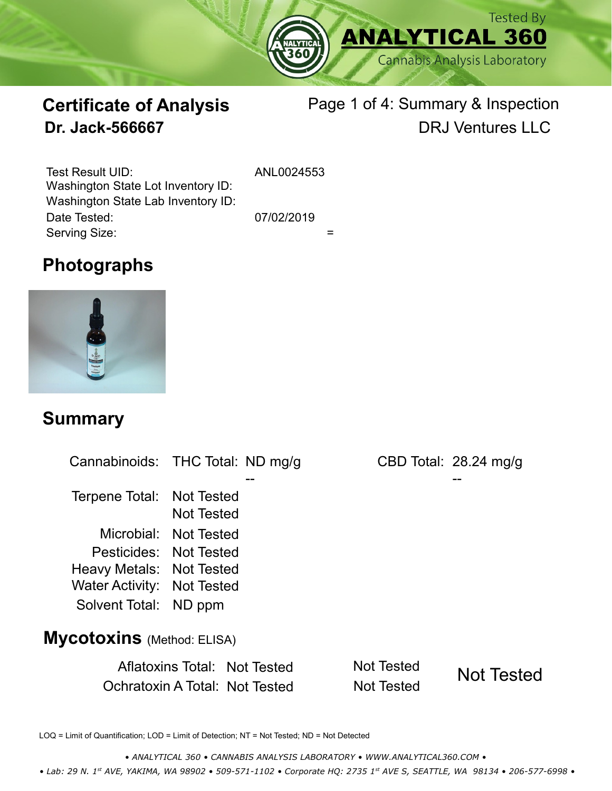

# **Certificate of Analysis**

## Page 1 of 4: Summary & Inspection **Dr. Jack-566667** DRJ Ventures LLC

Serving Size:  $=$ Test Result UID: ANL0024553 Date Tested: 07/02/2019 Washington State Lot Inventory ID: Washington State Lab Inventory ID:

## **Photographs**



#### **Summary**

| Cannabinoids: THC Total: ND mg/g  |                                     |                   | CBD Total: $28.24 \text{ mg/g}$ |
|-----------------------------------|-------------------------------------|-------------------|---------------------------------|
|                                   |                                     |                   |                                 |
| Terpene Total: Not Tested         |                                     |                   |                                 |
|                                   | <b>Not Tested</b>                   |                   |                                 |
|                                   | Microbial: Not Tested               |                   |                                 |
| Pesticides: Not Tested            |                                     |                   |                                 |
| Heavy Metals: Not Tested          |                                     |                   |                                 |
| <b>Water Activity: Not Tested</b> |                                     |                   |                                 |
| Solvent Total: ND ppm             |                                     |                   |                                 |
| <b>Mycotoxins</b> (Method: ELISA) |                                     |                   |                                 |
|                                   | <b>Aflatoxins Total: Not Tested</b> | <b>Not Tested</b> | <b>Not Tested</b>               |
|                                   | Ochratoxin A Total: Not Tested      | <b>Not Tested</b> |                                 |

LOQ = Limit of Quantification; LOD = Limit of Detection; NT = Not Tested; ND = Not Detected

*• ANALYTICAL 360 • CANNABIS ANALYSIS LABORATORY • WWW.ANALYTICAL360.COM •*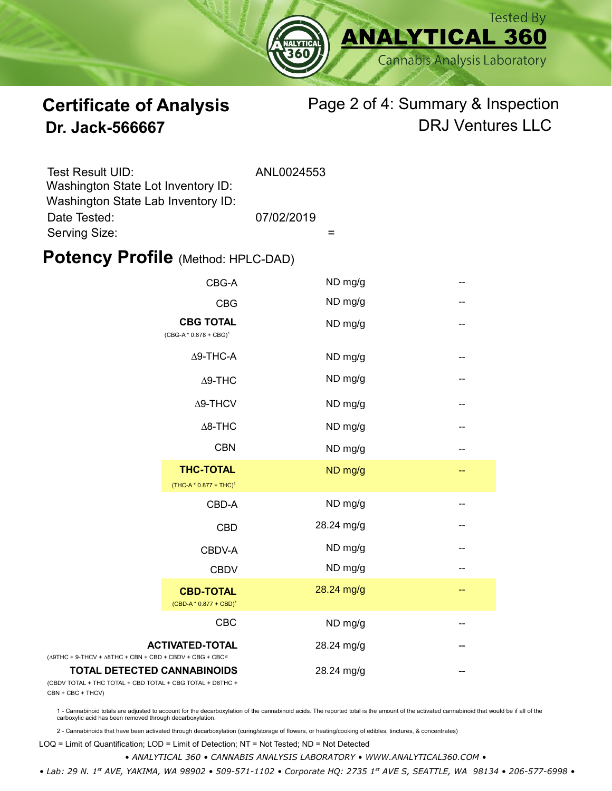

#### **Certificate of Analysis** Page 2 of 4: Summary & Inspection **Dr. Jack-566667** DRJ Ventures LLC

| Test Result UID:<br>Washington State Lot Inventory ID: | ANL0024553 |
|--------------------------------------------------------|------------|
| Washington State Lab Inventory ID:                     |            |
| Date Tested:                                           | 07/02/2019 |
| Serving Size:                                          |            |

#### **Potency Profile (Method: HPLC-DAD)**

|                                                                                                     | CBG-A                                                  | ND mg/g    | --  |
|-----------------------------------------------------------------------------------------------------|--------------------------------------------------------|------------|-----|
|                                                                                                     | <b>CBG</b>                                             | ND mg/g    | $-$ |
| <b>CBG TOTAL</b><br>$(CBG-A * 0.878 + CBG)^1$                                                       |                                                        | ND mg/g    | --  |
|                                                                                                     | $\Delta$ 9-THC-A                                       | ND mg/g    | --  |
|                                                                                                     | $\Delta$ 9-THC                                         | ND mg/g    | --  |
|                                                                                                     | $\Delta$ 9-THCV                                        | ND mg/g    | --  |
|                                                                                                     | $\Delta$ 8-THC                                         | ND mg/g    | --  |
|                                                                                                     | <b>CBN</b>                                             | ND mg/g    | --  |
|                                                                                                     | <b>THC-TOTAL</b><br>(THC-A * 0.877 + THC) <sup>1</sup> | ND mg/g    | --  |
|                                                                                                     | CBD-A                                                  | ND mg/g    | --  |
|                                                                                                     | <b>CBD</b>                                             | 28.24 mg/g | --  |
|                                                                                                     | CBDV-A                                                 | ND mg/g    | $-$ |
|                                                                                                     | <b>CBDV</b>                                            | ND mg/g    | --  |
|                                                                                                     | <b>CBD-TOTAL</b><br>$(CBD-A * 0.877 + CBD)^1$          | 28.24 mg/g | $-$ |
|                                                                                                     | <b>CBC</b>                                             | ND mg/g    | --  |
| <b>ACTIVATED-TOTAL</b><br>$+$ 9-THCV + $\triangle$ 8THC + CBN + CBD + CBDV + CBG + CBC <sup>2</sup> |                                                        | 28.24 mg/g |     |
| <b>TOTAL DETECTED CANNABINOIDS</b><br>TOTAL + THC TOTAL + CBD TOTAL + CBG TOTAL + D8THC +           |                                                        | 28.24 mg/g |     |

(CBDV TOTAL + THC TOTAL CBN + CBC + THCV)

(∆9THC + 9-THCV + ∆8THC

1 - Cannabinoid totals are adjusted to account for the decarboxylation of the cannabinoid acids. The reported total is the amount of the activated cannabinoid that would be if all of the<br>carboxylic acid has been removed th

2 - Cannabinoids that have been activated through decarboxylation (curing/storage of flowers, or heating/cooking of edibles, tinctures, & concentrates)

LOQ = Limit of Quantification; LOD = Limit of Detection; NT = Not Tested; ND = Not Detected

*• ANALYTICAL 360 • CANNABIS ANALYSIS LABORATORY • WWW.ANALYTICAL360.COM •*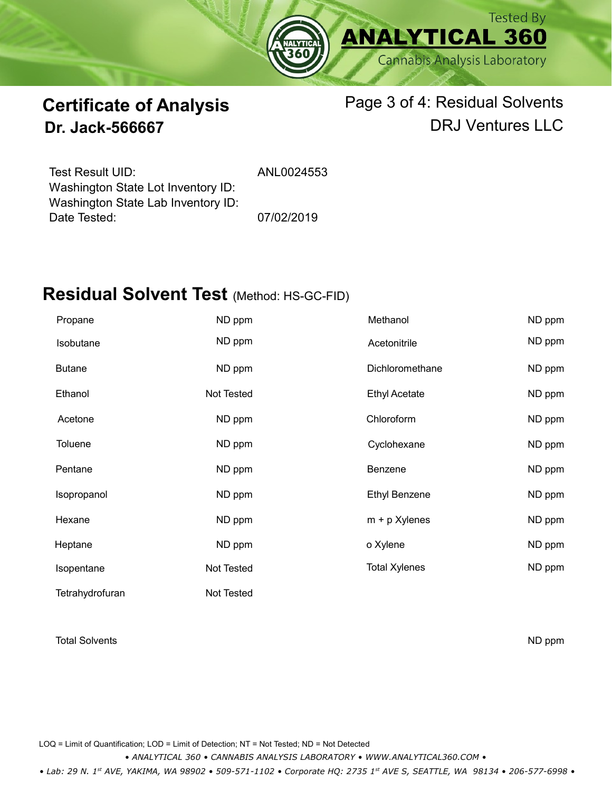

#### **Certificate of Analysis Dr. Jack-566667**

#### Page 3 of 4: Residual Solvents DRJ Ventures LLC

Test Result UID: ANL0024553 Date Tested: 07/02/2019 Washington State Lot Inventory ID: Washington State Lab Inventory ID:

### **Residual Solvent Test** (Method: HS-GC-FID)

| Propane         | ND ppm     | Methanol             | ND ppm |
|-----------------|------------|----------------------|--------|
| Isobutane       | ND ppm     | Acetonitrile         | ND ppm |
| <b>Butane</b>   | ND ppm     | Dichloromethane      | ND ppm |
| Ethanol         | Not Tested | <b>Ethyl Acetate</b> | ND ppm |
| Acetone         | ND ppm     | Chloroform           | ND ppm |
| <b>Toluene</b>  | ND ppm     | Cyclohexane          | ND ppm |
| Pentane         | ND ppm     | Benzene              | ND ppm |
| Isopropanol     | ND ppm     | <b>Ethyl Benzene</b> | ND ppm |
| Hexane          | ND ppm     | $m + p$ Xylenes      | ND ppm |
| Heptane         | ND ppm     | o Xylene             | ND ppm |
| Isopentane      | Not Tested | <b>Total Xylenes</b> | ND ppm |
| Tetrahydrofuran | Not Tested |                      |        |

#### Total Solvents ND ppm

LOQ = Limit of Quantification; LOD = Limit of Detection; NT = Not Tested; ND = Not Detected

*• ANALYTICAL 360 • CANNABIS ANALYSIS LABORATORY • WWW.ANALYTICAL360.COM •*